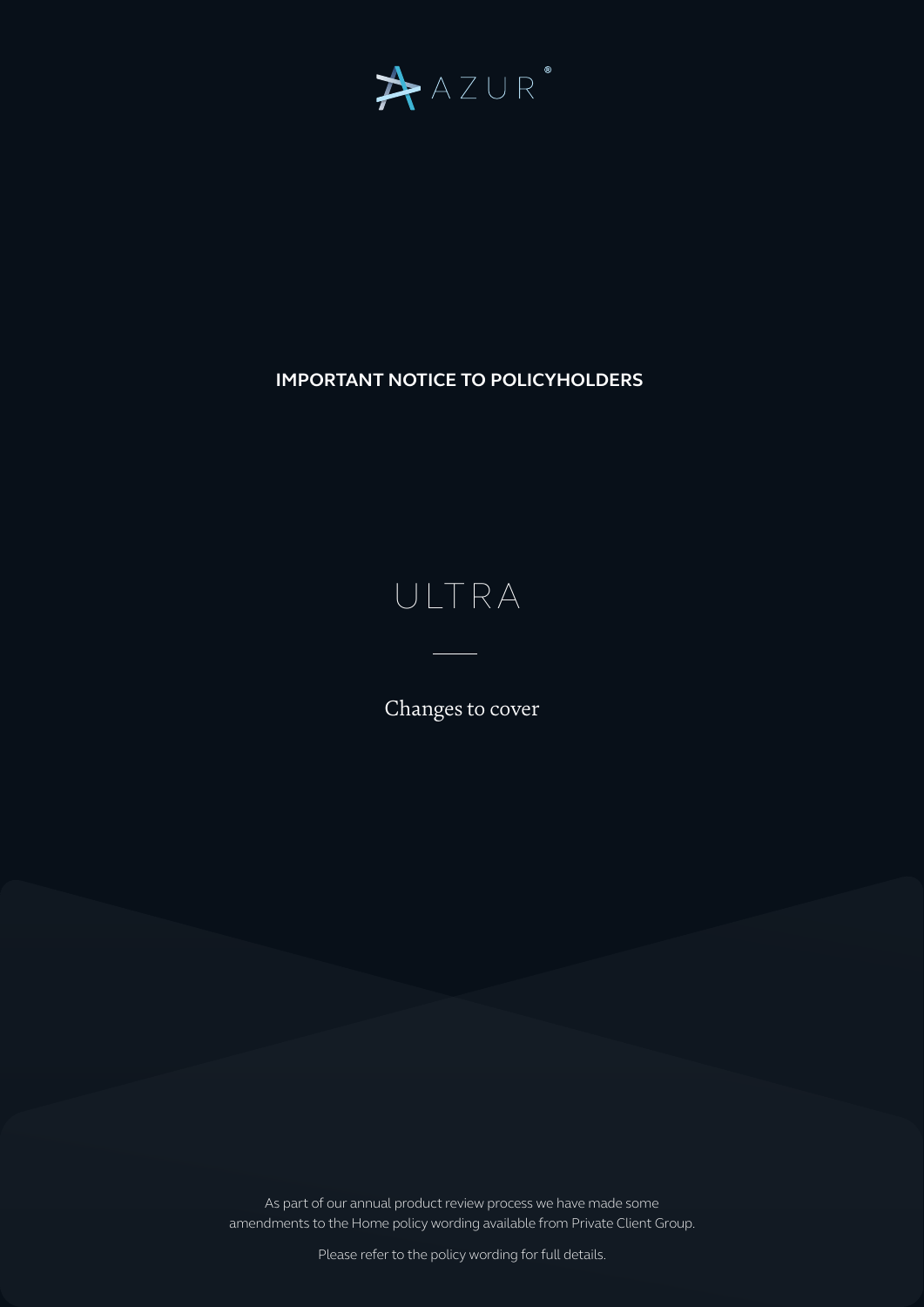

## **IMPORTANT NOTICE TO POLICYHOLDERS**

## ULTRA

Changes to cover

As part of our annual product review process we have made some amendments to the Home policy wording available from Private Client Group.

Please refer to the policy wording for full details.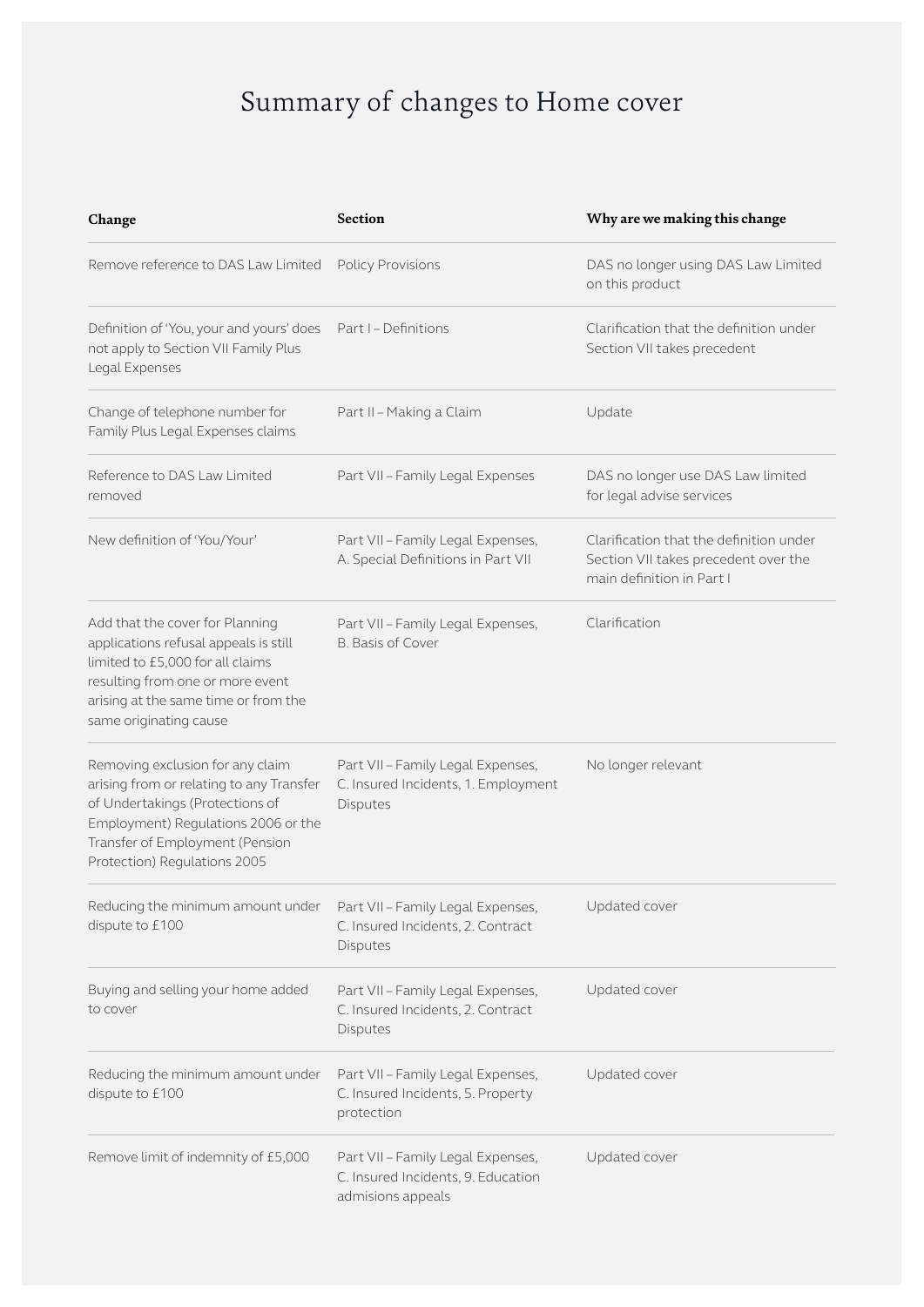## Summary of changes to Home cover

| Change                                                                                                                                                                                                                    | <b>Section</b>                                                                               | Why are we making this change                                                                                |
|---------------------------------------------------------------------------------------------------------------------------------------------------------------------------------------------------------------------------|----------------------------------------------------------------------------------------------|--------------------------------------------------------------------------------------------------------------|
| Remove reference to DAS Law Limited                                                                                                                                                                                       | <b>Policy Provisions</b>                                                                     | DAS no longer using DAS Law Limited<br>on this product                                                       |
| Definition of 'You, your and yours' does<br>not apply to Section VII Family Plus<br>Legal Expenses                                                                                                                        | Part I - Definitions                                                                         | Clarification that the definition under<br>Section VII takes precedent                                       |
| Change of telephone number for<br>Family Plus Legal Expenses claims                                                                                                                                                       | Part II - Making a Claim                                                                     | Update                                                                                                       |
| Reference to DAS Law Limited<br>removed                                                                                                                                                                                   | Part VII - Family Legal Expenses                                                             | DAS no longer use DAS Law limited<br>for legal advise services                                               |
| New definition of 'You/Your'                                                                                                                                                                                              | Part VII - Family Legal Expenses,<br>A. Special Definitions in Part VII                      | Clarification that the definition under<br>Section VII takes precedent over the<br>main definition in Part I |
| Add that the cover for Planning<br>applications refusal appeals is still<br>limited to £5,000 for all claims<br>resulting from one or more event<br>arising at the same time or from the<br>same originating cause        | Part VII - Family Legal Expenses,<br><b>B.</b> Basis of Cover                                | Clarification                                                                                                |
| Removing exclusion for any claim<br>arising from or relating to any Transfer<br>of Undertakings (Protections of<br>Employment) Regulations 2006 or the<br>Transfer of Employment (Pension<br>Protection) Regulations 2005 | Part VII - Family Legal Expenses,<br>C. Insured Incidents, 1. Employment<br>Disputes         | No longer relevant                                                                                           |
| Reducing the minimum amount under<br>dispute to £100                                                                                                                                                                      | Part VII - Family Legal Expenses,<br>C. Insured Incidents, 2. Contract<br>Disputes           | Updated cover                                                                                                |
| Buying and selling your home added<br>to cover                                                                                                                                                                            | Part VII - Family Legal Expenses,<br>C. Insured Incidents, 2. Contract<br>Disputes           | Updated cover                                                                                                |
| Reducing the minimum amount under<br>dispute to £100                                                                                                                                                                      | Part VII - Family Legal Expenses,<br>C. Insured Incidents, 5. Property<br>protection         | Updated cover                                                                                                |
| Remove limit of indemnity of £5,000                                                                                                                                                                                       | Part VII - Family Legal Expenses,<br>C. Insured Incidents, 9. Education<br>admisions appeals | Updated cover                                                                                                |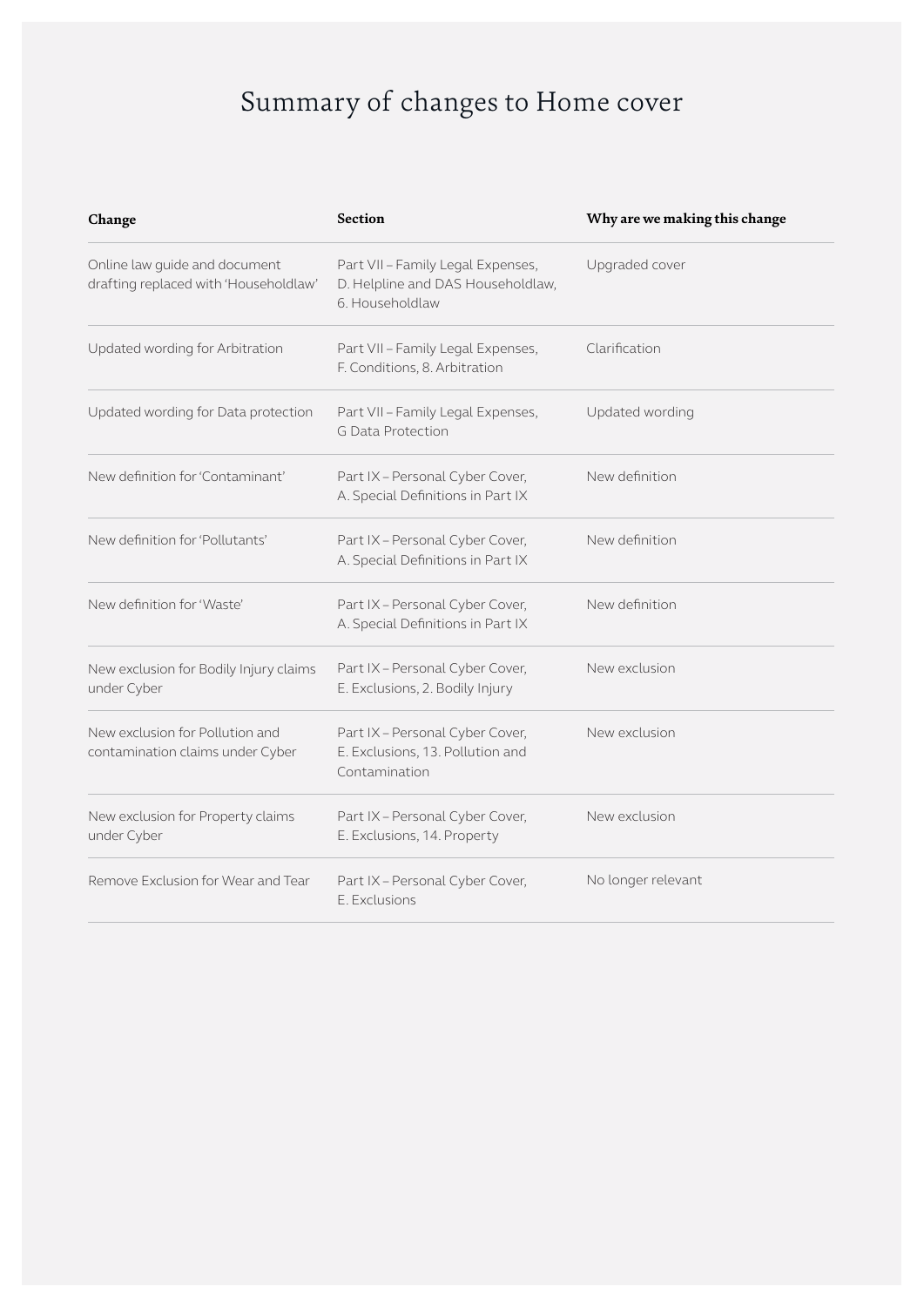## Summary of changes to Home cover

| Change                                                                 | <b>Section</b>                                                                            | Why are we making this change |
|------------------------------------------------------------------------|-------------------------------------------------------------------------------------------|-------------------------------|
| Online law guide and document<br>drafting replaced with 'Householdlaw' | Part VII - Family Legal Expenses,<br>D. Helpline and DAS Householdlaw,<br>6. Householdlaw | Upgraded cover                |
| Updated wording for Arbitration                                        | Part VII - Family Legal Expenses,<br>F. Conditions, 8. Arbitration                        | Clarification                 |
| Updated wording for Data protection                                    | Part VII - Family Legal Expenses,<br><b>G Data Protection</b>                             | Updated wording               |
| New definition for 'Contaminant'                                       | Part IX - Personal Cyber Cover,<br>A. Special Definitions in Part IX                      | New definition                |
| New definition for 'Pollutants'                                        | Part IX - Personal Cyber Cover,<br>A. Special Definitions in Part IX                      | New definition                |
| New definition for 'Waste'                                             | Part IX - Personal Cyber Cover,<br>A. Special Definitions in Part IX                      | New definition                |
| New exclusion for Bodily Injury claims<br>under Cyber                  | Part IX - Personal Cyber Cover,<br>E. Exclusions, 2. Bodily Injury                        | New exclusion                 |
| New exclusion for Pollution and<br>contamination claims under Cyber    | Part IX - Personal Cyber Cover,<br>E. Exclusions, 13. Pollution and<br>Contamination      | New exclusion                 |
| New exclusion for Property claims<br>under Cyber                       | Part IX - Personal Cyber Cover,<br>E. Exclusions, 14. Property                            | New exclusion                 |
| Remove Exclusion for Wear and Tear                                     | Part IX - Personal Cyber Cover,<br>E. Exclusions                                          | No longer relevant            |